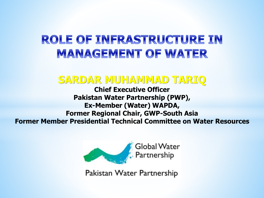#### **ROLE OF INFRASTRUCTURE IN MANAGEMENT OF WATER**

#### **SARDAR MUHAMMAD TARIQ**

**Chief Executive Officer Pakistan Water Partnership (PWP), Ex-Member (Water) WAPDA, Former Regional Chair, GWP-South Asia Former Member Presidential Technical Committee on Water Resources**



Pakistan Water Partnership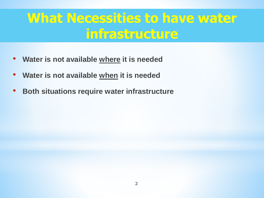### **What Necessities to have water infrastructure**

- **Water is not available where it is needed**
- **Water is not available when it is needed**
- **Both situations require water infrastructure**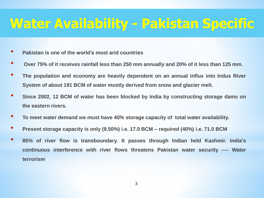### **Water Availability - Pakistan Specific**

- **Pakistan is one of the world's most arid countries**
- Over 75% of it receives rainfall less than 250 mm annually and 20% of it less than 125 mm.
- **The population and economy are heavily dependent on an annual influx into Indus River System of about 191 BCM of water mostly derived from snow and glacier melt.**
- **Since 2002, <sup>12</sup> BCM of water has been blocked by India by constructing storage dams on the eastern rivers.**
- **To meet water demand we must have 40% storage capacity of total water availability.**
- **Present storage capacity is only (9.50%) i.e. 17.0 BCM – required (40%) i.e. 71.0 BCM**
- **85% of river flow is transboundary. It passes through Indian held Kashmir. India's continuous interference with river flows threatens Pakistan water security ---- Water terrorism**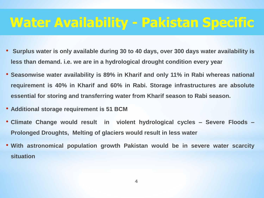### **Water Availability - Pakistan Specific**

- **Surplus water is only available during 30 to 40 days, over 300 days water availability is less than demand. i.e. we are in a hydrological drought condition every year**
- **Seasonwise water availability is 89% in Kharif and only 11% in Rabi whereas national requirement is 40% in Kharif and 60% in Rabi. Storage infrastructures are absolute essential for storing and transferring water from Kharif season to Rabi season.**
- **Additional storage requirement is 51 BCM**
- **Climate Change would result in violent hydrological cycles – Severe Floods – Prolonged Droughts, Melting of glaciers would result in less water**
- **With astronomical population growth Pakistan would be in severe water scarcity situation**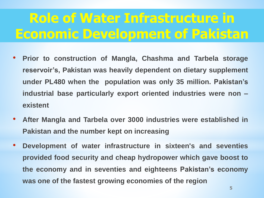# **Role of Water Infrastructure in Economic Development of Pakistan**

- **Prior to construction of Mangla, Chashma and Tarbela storage reservoir's, Pakistan was heavily dependent on dietary supplement under PL480 when the population was only 35 million. Pakistan's industrial base particularly export oriented industries were non – existent**
- **After Mangla and Tarbela over 3000 industries were established in Pakistan and the number kept on increasing**
- **Development of water infrastructure in sixteen's and seventies provided food security and cheap hydropower which gave boost to the economy and in seventies and eighteens Pakistan's economy was one of the fastest growing economies of the region**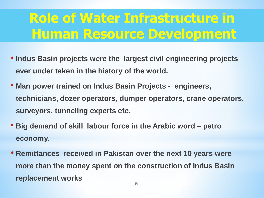## **Role of Water Infrastructure in Human Resource Development**

- **Indus Basin projects were the largest civil engineering projects ever under taken in the history of the world.**
- **Man power trained on Indus Basin Projects - engineers, technicians, dozer operators, dumper operators, crane operators, surveyors, tunneling experts etc.**
- **Big demand of skill labour force in the Arabic word – petro economy.**
- **Remittances received in Pakistan over the next 10 years were more than the money spent on the construction of Indus Basin replacement works**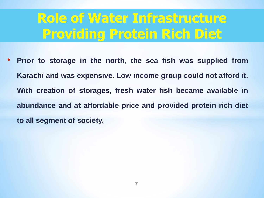### **Role of Water Infrastructure Providing Protein Rich Diet**

• **Prior to storage in the north, the sea fish was supplied from Karachi and was expensive. Low income group could not afford it. With creation of storages, fresh water fish became available in abundance and at affordable price and provided protein rich diet to all segment of society.**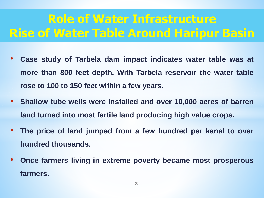### **Role of Water Infrastructure Rise of Water Table Around Haripur Basin**

- **Case study of Tarbela dam impact indicates water table was at more than 800 feet depth. With Tarbela reservoir the water table rose to 100 to 150 feet within a few years.**
- **Shallow tube wells were installed and over 10,000 acres of barren land turned into most fertile land producing high value crops.**
- **The price of land jumped from a few hundred per kanal to over hundred thousands.**
- **Once farmers living in extreme poverty became most prosperous farmers.**